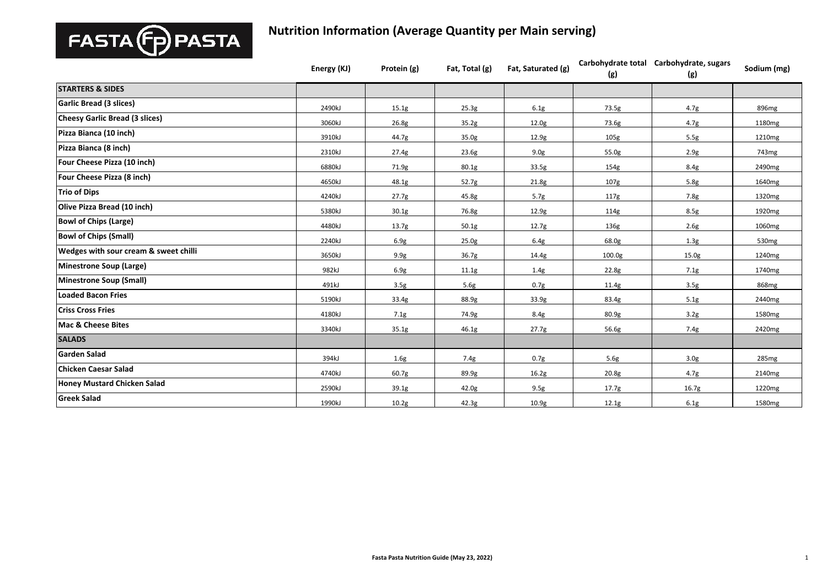

|                                                  | Energy (KJ) | Protein (g)       | Fat, Total (g) | Fat, Saturated (g) | (g)                | Carbohydrate total Carbohydrate, sugars<br>(g) | Sodium (mg)        |
|--------------------------------------------------|-------------|-------------------|----------------|--------------------|--------------------|------------------------------------------------|--------------------|
| <b>STARTERS &amp; SIDES</b>                      |             |                   |                |                    |                    |                                                |                    |
| Garlic Bread (3 slices)                          | 2490kJ      | 15.1g             | 25.3g          | 6.1g               | 73.5g              | 4.7g                                           | 896mg              |
| <b>Cheesy Garlic Bread (3 slices)</b>            | 3060kJ      | 26.8 <sub>g</sub> | 35.2g          | 12.0 <sub>g</sub>  | 73.6g              | 4.7g                                           | 1180 <sub>mg</sub> |
| Pizza Bianca (10 inch)                           | 3910kJ      | 44.7g             | 35.0g          | 12.9g              | 105g               | 5.5g                                           | 1210mg             |
| Pizza Bianca (8 inch)                            | 2310kJ      | 27.4g             | 23.6g          | 9.0 <sub>g</sub>   | 55.0g              | 2.9g                                           | 743mg              |
| Four Cheese Pizza (10 inch)                      | 6880kJ      | 71.9g             | 80.1g          | 33.5g              | 154g               | 8.4g                                           | 2490mg             |
| Four Cheese Pizza (8 inch)                       | 4650kJ      | 48.1g             | 52.7g          | 21.8g              | 107 <sub>g</sub>   | 5.8g                                           | 1640mg             |
| <b>Trio of Dips</b>                              | 4240kJ      | 27.7g             | 45.8g          | 5.7g               | 117g               | 7.8g                                           | 1320mg             |
| Olive Pizza Bread (10 inch)                      | 5380kJ      | 30.1g             | 76.8g          | 12.9g              | 114g               | 8.5g                                           | 1920mg             |
| <b>Bowl of Chips (Large)</b>                     | 4480kJ      | 13.7g             | 50.1g          | 12.7g              | 136g               | 2.6g                                           | 1060mg             |
| <b>Bowl of Chips (Small)</b>                     | 2240kJ      | 6.9g              | 25.0g          | 6.4g               | 68.0g              | 1.3g                                           | 530 <sub>mg</sub>  |
| <b>Wedges with sour cream &amp; sweet chilli</b> | 3650kJ      | 9.9g              | 36.7g          | 14.4g              | 100.0 <sub>g</sub> | 15.0g                                          | 1240mg             |
| Minestrone Soup (Large)                          | 982kJ       | 6.9g              | 11.1g          | 1.4g               | 22.8g              | 7.1g                                           | 1740 <sub>mg</sub> |
| Minestrone Soup (Small)                          | 491kJ       | 3.5g              | 5.6g           | 0.7g               | 11.4g              | 3.5g                                           | 868mg              |
| Loaded Bacon Fries                               | 5190kJ      | 33.4g             | 88.9g          | 33.9 <sub>g</sub>  | 83.4g              | 5.1g                                           | 2440mg             |
| <b>Criss Cross Fries</b>                         | 4180kJ      | 7.1g              | 74.9g          | 8.4g               | 80.9 <sub>g</sub>  | 3.2g                                           | 1580mg             |
| <b>Mac &amp; Cheese Bites</b>                    | 3340kJ      | 35.1g             | 46.1g          | 27.7g              | 56.6g              | 7.4g                                           | 2420mg             |
| <b>SALADS</b>                                    |             |                   |                |                    |                    |                                                |                    |
| <b>Garden Salad</b>                              | 394kJ       | 1.6g              | 7.4g           | 0.7 <sub>g</sub>   | 5.6g               | 3.0 <sub>g</sub>                               | 285 <sub>mg</sub>  |
| Chicken Caesar Salad                             | 4740kJ      | 60.7g             | 89.9g          | 16.2g              | 20.8g              | 4.7g                                           | 2140 <sub>mg</sub> |
| <b>Honey Mustard Chicken Salad</b>               | 2590kJ      | 39.1g             | 42.0g          | 9.5g               | 17.7g              | 16.7 <sub>g</sub>                              | 1220mg             |
| <b>Greek Salad</b>                               | 1990kJ      | 10.2g             | 42.3g          | 10.9 <sub>g</sub>  | 12.1g              | 6.1g                                           | 1580 <sub>mg</sub> |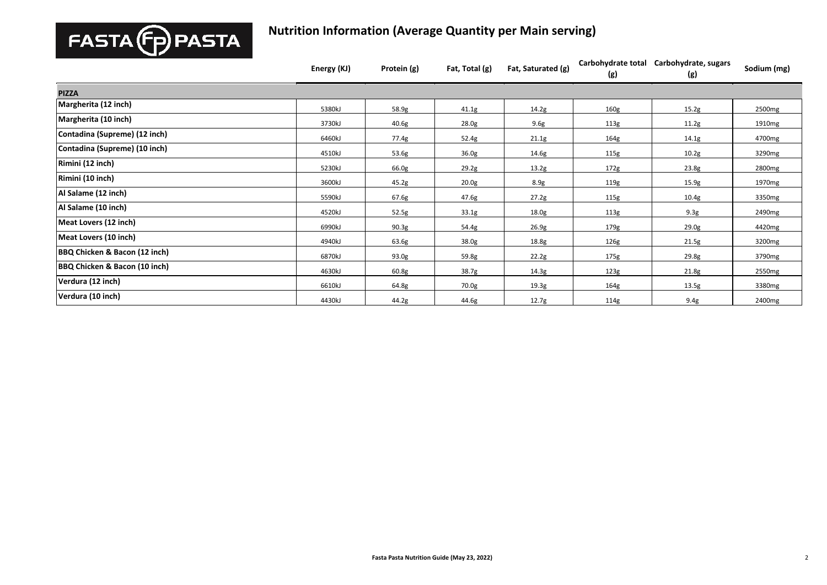

|                                          | Energy (KJ) | Protein (g) | Fat, Total (g)    | Fat, Saturated (g) | Carbohydrate total<br>(g) | Carbohydrate, sugars<br>(g) | Sodium (mg) |
|------------------------------------------|-------------|-------------|-------------------|--------------------|---------------------------|-----------------------------|-------------|
| <b>PIZZA</b>                             |             |             |                   |                    |                           |                             |             |
| Margherita (12 inch)                     | 5380kJ      | 58.9g       | 41.1g             | 14.2g              | 160g                      | 15.2g                       | 2500mg      |
| Margherita (10 inch)                     | 3730kJ      | 40.6g       | 28.0g             | 9.6g               | 113g                      | 11.2g                       | 1910mg      |
| Contadina (Supreme) (12 inch)            | 6460kJ      | 77.4g       | 52.4g             | 21.1g              | 164g                      | 14.1g                       | 4700mg      |
| Contadina (Supreme) (10 inch)            | 4510kJ      | 53.6g       | 36.0 <sub>g</sub> | 14.6g              | 115g                      | 10.2g                       | 3290mg      |
| Rimini (12 inch)                         | 5230kJ      | 66.0g       | 29.2g             | 13.2g              | 172g                      | 23.8g                       | 2800mg      |
| Rimini (10 inch)                         | 3600kJ      | 45.2g       | 20.0 <sub>g</sub> | 8.9g               | 119g                      | 15.9g                       | 1970mg      |
| Al Salame (12 inch)                      | 5590kJ      | 67.6g       | 47.6g             | 27.2g              | 115g                      | 10.4g                       | 3350mg      |
| Al Salame (10 inch)                      | 4520kJ      | 52.5g       | 33.1g             | 18.0g              | 113g                      | 9.3g                        | 2490mg      |
| Meat Lovers (12 inch)                    | 6990kJ      | 90.3g       | 54.4g             | 26.9g              | 179g                      | 29.0g                       | 4420mg      |
| Meat Lovers (10 inch)                    | 4940kJ      | 63.6g       | 38.0g             | 18.8g              | 126g                      | 21.5g                       | 3200mg      |
| BBQ Chicken & Bacon (12 inch)            | 6870kJ      | 93.0g       | 59.8g             | 22.2g              | 175g                      | 29.8g                       | 3790mg      |
| <b>BBQ Chicken &amp; Bacon (10 inch)</b> | 4630kJ      | 60.8g       | 38.7g             | 14.3g              | 123g                      | 21.8g                       | 2550mg      |
| Verdura (12 inch)                        | 6610kJ      | 64.8g       | 70.0g             | 19.3g              | 164g                      | 13.5g                       | 3380mg      |
| Verdura (10 inch)                        | 4430kJ      | 44.2g       | 44.6g             | 12.7g              | 114g                      | 9.4g                        | 2400mg      |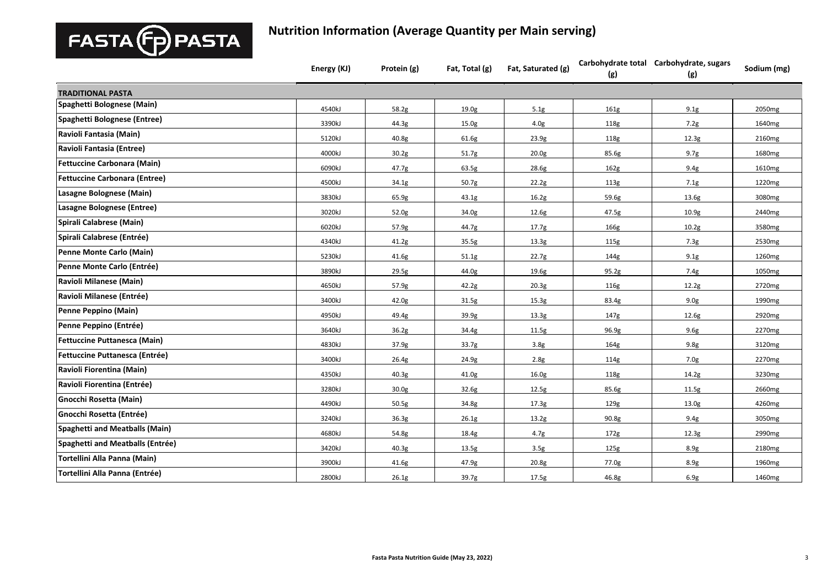

|                                      | Energy (KJ) | Protein (g)       | Fat, Total (g)    | Fat, Saturated (g) | (g)              | Carbohydrate total Carbohydrate, sugars<br>(g) | Sodium (mg)        |
|--------------------------------------|-------------|-------------------|-------------------|--------------------|------------------|------------------------------------------------|--------------------|
| <b>TRADITIONAL PASTA</b>             |             |                   |                   |                    |                  |                                                |                    |
| Spaghetti Bolognese (Main)           | 4540kJ      | 58.2g             | 19.0 <sub>g</sub> | 5.1g               | 161 <sub>g</sub> | 9.1g                                           | 2050 <sub>mg</sub> |
| Spaghetti Bolognese (Entree)         | 3390kJ      | 44.3g             | 15.0g             | 4.0 <sub>g</sub>   | 118g             | 7.2g                                           | 1640 <sub>mg</sub> |
| Ravioli Fantasia (Main)              | 5120kJ      | 40.8g             | 61.6g             | 23.9g              | 118g             | 12.3g                                          | 2160mg             |
| Ravioli Fantasia (Entree)            | 4000kJ      | 30.2g             | 51.7g             | 20.0 <sub>g</sub>  | 85.6g            | 9.7g                                           | 1680mg             |
| <b>Fettuccine Carbonara (Main)</b>   | 6090kJ      | 47.7g             | 63.5g             | 28.6g              | 162g             | 9.4g                                           | 1610mg             |
| <b>Fettuccine Carbonara (Entree)</b> | 4500kJ      | 34.1g             | 50.7g             | 22.2g              | 113g             | 7.1g                                           | 1220mg             |
| Lasagne Bolognese (Main)             | 3830kJ      | 65.9g             | 43.1g             | 16.2g              | 59.6g            | 13.6g                                          | 3080mg             |
| Lasagne Bolognese (Entree)           | 3020kJ      | 52.0g             | 34.0g             | 12.6g              | 47.5g            | 10.9 <sub>g</sub>                              | 2440mg             |
| Spirali Calabrese (Main)             | 6020kJ      | 57.9g             | 44.7g             | 17.7 <sub>g</sub>  | 166g             | 10.2g                                          | 3580mg             |
| Spirali Calabrese (Entrée)           | 4340kJ      | 41.2g             | 35.5g             | 13.3 <sub>g</sub>  | 115g             | 7.3g                                           | 2530mg             |
| Penne Monte Carlo (Main)             | 5230kJ      | 41.6g             | 51.1g             | 22.7g              | 144g             | 9.1g                                           | 1260mg             |
| Penne Monte Carlo (Entrée)           | 3890kJ      | 29.5g             | 44.0g             | 19.6g              | 95.2g            | 7.4g                                           | 1050mg             |
| Ravioli Milanese (Main)              | 4650kJ      | 57.9g             | 42.2g             | 20.3 <sub>g</sub>  | 116g             | 12.2g                                          | 2720mg             |
| Ravioli Milanese (Entrée)            | 3400kJ      | 42.0 <sub>g</sub> | 31.5g             | 15.3 <sub>g</sub>  | 83.4g            | 9.0 <sub>g</sub>                               | 1990 <sub>mg</sub> |
| Penne Peppino (Main)                 | 4950kJ      | 49.4g             | 39.9g             | 13.3 <sub>g</sub>  | 147g             | 12.6g                                          | 2920mg             |
| Penne Peppino (Entrée)               | 3640kJ      | 36.2g             | 34.4g             | 11.5g              | 96.9g            | 9.6g                                           | 2270mg             |
| Fettuccine Puttanesca (Main)         | 4830kJ      | 37.9g             | 33.7g             | 3.8g               | 164g             | 9.8g                                           | 3120mg             |
| Fettuccine Puttanesca (Entrée)       | 3400kJ      | 26.4g             | 24.9g             | 2.8g               | 114g             | 7.0g                                           | 2270mg             |
| Ravioli Fiorentina (Main)            | 4350kJ      | 40.3 <sub>g</sub> | 41.0g             | 16.0 <sub>g</sub>  | 118g             | 14.2g                                          | 3230mg             |
| Ravioli Fiorentina (Entrée)          | 3280kJ      | 30.0 <sub>g</sub> | 32.6g             | 12.5g              | 85.6g            | 11.5g                                          | 2660mg             |
| Gnocchi Rosetta (Main)               | 4490kJ      | 50.5g             | 34.8g             | 17.3g              | 129g             | 13.0g                                          | 4260mg             |
| Gnocchi Rosetta (Entrée)             | 3240kJ      | 36.3 <sub>g</sub> | 26.1g             | 13.2g              | 90.8g            | 9.4g                                           | 3050mg             |
| Spaghetti and Meatballs (Main)       | 4680kJ      | 54.8g             | 18.4g             | 4.7g               | 172g             | 12.3g                                          | 2990mg             |
| Spaghetti and Meatballs (Entrée)     | 3420kJ      | 40.3g             | 13.5g             | 3.5g               | 125g             | 8.9g                                           | 2180mg             |
| Tortellini Alla Panna (Main)         | 3900kJ      | 41.6g             | 47.9g             | 20.8g              | 77.0g            | 8.9g                                           | 1960 <sub>mg</sub> |
| Tortellini Alla Panna (Entrée)       | 2800kJ      | 26.1g             | 39.7g             | 17.5g              | 46.8g            | 6.9g                                           | 1460mg             |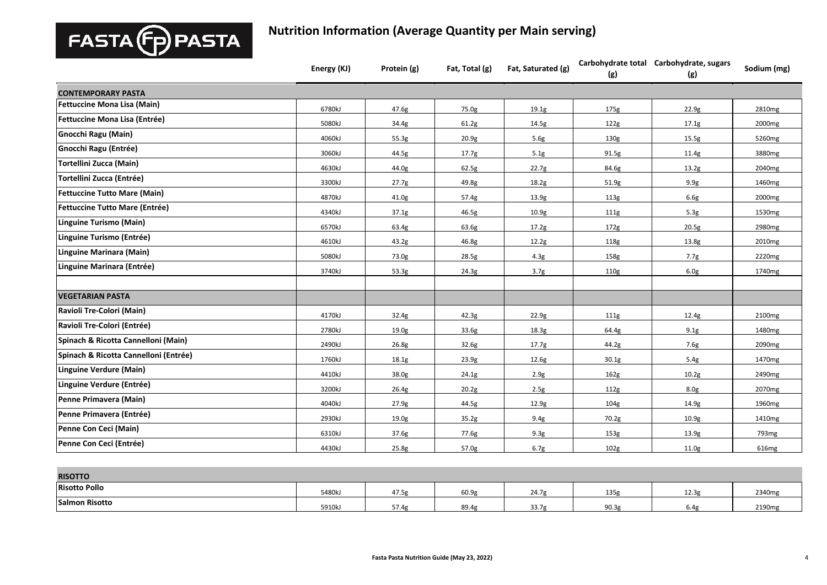

|                                       | Energy (KJ) | Protein (g)       | Fat, Total (g) | Fat, Saturated (g) | (g)              | Carbohydrate total Carbohydrate, sugars<br>(g) | Sodium (mg)        |
|---------------------------------------|-------------|-------------------|----------------|--------------------|------------------|------------------------------------------------|--------------------|
| <b>CONTEMPORARY PASTA</b>             |             |                   |                |                    |                  |                                                |                    |
| Fettuccine Mona Lisa (Main)           | 6780kJ      | 47.6g             | 75.0g          | 19.1 <sub>g</sub>  | 175g             | 22.9g                                          | 2810mg             |
| Fettuccine Mona Lisa (Entrée)         | 5080kJ      | 34.4g             | 61.2g          | 14.5g              | 122g             | 17.1g                                          | 2000 <sub>mg</sub> |
| <b>Gnocchi Ragu (Main)</b>            | 4060kJ      | 55.3g             | 20.9g          | 5.6g               | 130g             | 15.5g                                          | 5260mg             |
| Gnocchi Ragu (Entrée)                 | 3060kJ      | 44.5g             | 17.7g          | 5.1g               | 91.5g            | 11.4g                                          | 3880mg             |
| Tortellini Zucca (Main)               | 4630kJ      | 44.0g             | 62.5g          | 22.7g              | 84.6g            | 13.2g                                          | 2040 <sub>mg</sub> |
| <b>Tortellini Zucca (Entrée)</b>      | 3300kJ      | 27.7g             | 49.8g          | 18.2g              | 51.9g            | 9.9g                                           | 1460 <sub>mg</sub> |
| <b>Fettuccine Tutto Mare (Main)</b>   | 4870kJ      | 41.0g             | 57.4g          | 13.9g              | 113g             | 6.6g                                           | 2000 <sub>mg</sub> |
| <b>Fettuccine Tutto Mare (Entrée)</b> | 4340kJ      | 37.1g             | 46.5g          | 10.9 <sub>g</sub>  | 111g             | 5.3g                                           | 1530 <sub>mg</sub> |
| Linguine Turismo (Main)               | 6570kJ      | 63.4g             | 63.6g          | 17.2g              | 172g             | 20.5g                                          | 2980mg             |
| Linguine Turismo (Entrée)             | 4610kJ      | 43.2g             | 46.8g          | 12.2g              | 118g             | 13.8g                                          | 2010 <sub>mg</sub> |
| Linguine Marinara (Main)              | 5080kJ      | 73.0g             | 28.5g          | 4.3 <sub>g</sub>   | 158g             | 7.7g                                           | 2220mg             |
| Linguine Marinara (Entrée)            | 3740kJ      | 53.3g             | 24.3g          | 3.7g               | 110g             | 6.0g                                           | 1740 <sub>mg</sub> |
| <b>VEGETARIAN PASTA</b>               |             |                   |                |                    |                  |                                                |                    |
| Ravioli Tre-Colori (Main)             | 4170kJ      | 32.4g             | 42.3g          | 22.9g              | 111g             | 12.4g                                          | 2100 <sub>mg</sub> |
| Ravioli Tre-Colori (Entrée)           | 2780kJ      | 19.0 <sub>g</sub> | 33.6g          | 18.3g              | 64.4g            | 9.1g                                           | 1480mg             |
| Spinach & Ricotta Cannelloni (Main)   | 2490kJ      | 26.8g             | 32.6g          | 17.7 <sub>g</sub>  | 44.2g            | 7.6g                                           | 2090 <sub>mg</sub> |
| Spinach & Ricotta Cannelloni (Entrée) | 1760kJ      | 18.1g             | 23.9g          | 12.6g              | 30.1g            | 5.4g                                           | 1470mg             |
| Linguine Verdure (Main)               | 4410kJ      | 38.0g             | 24.1g          | 2.9g               | 162g             | 10.2g                                          | 2490 <sub>mg</sub> |
| Linguine Verdure (Entrée)             | 3200kJ      | 26.4g             | 20.2g          | 2.5g               | 112g             | 8.0 <sub>g</sub>                               | 2070 <sub>mg</sub> |
| Penne Primavera (Main)                | 4040kJ      | 27.9g             | 44.5g          | 12.9g              | 104 <sub>g</sub> | 14.9g                                          | 1960 <sub>mg</sub> |
| Penne Primavera (Entrée)              | 2930kJ      | 19.0 <sub>g</sub> | 35.2g          | 9.4g               | 70.2g            | 10.9 <sub>g</sub>                              | 1410 <sub>mg</sub> |
| Penne Con Ceci (Main)                 | 6310kJ      | 37.6g             | 77.6g          | 9.3g               | 153g             | 13.9g                                          | 793 <sub>mg</sub>  |
| Penne Con Ceci (Entrée)               | 4430kJ      | 25.8g             | 57.0g          | 6.7g               | 102g             | 11.0g                                          | 616mg              |
|                                       |             |                   |                |                    |                  |                                                |                    |

| <b>RISOTTO</b>        |        |              |                   |                       |      |       |       |
|-----------------------|--------|--------------|-------------------|-----------------------|------|-------|-------|
| <b>Risotto Pollo</b>  | 5480kJ | 17E<br>47.3  | 60.9 <sub>g</sub> | <b>14</b> 74<br>24.7' | 135f | 12.3g | 2340m |
| <b>Salmon Risotto</b> | 5910kJ | $- -$<br>--- | 89.4g             | $\sim$ $\sim$<br>33.7 | 90.3 | 6.4   | 2190n |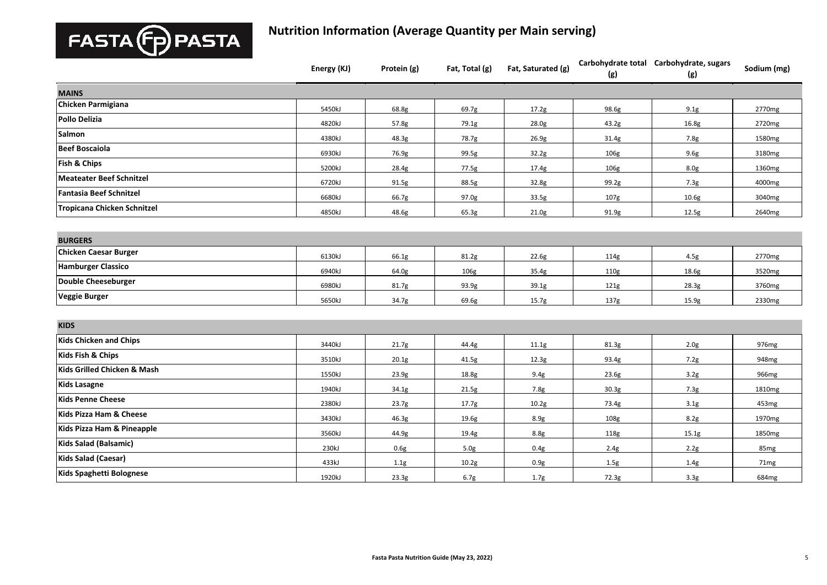

|                                | Energy (KJ) | Protein (g) | Fat, Total (g) | Fat, Saturated (g) | (g)               | Carbohydrate total Carbohydrate, sugars<br>(g) | Sodium (mg)       |
|--------------------------------|-------------|-------------|----------------|--------------------|-------------------|------------------------------------------------|-------------------|
| <b>MAINS</b>                   |             |             |                |                    |                   |                                                |                   |
| <b>Chicken Parmigiana</b>      | 5450kJ      | 68.8g       | 69.7g          | 17.2g              | 98.6g             | 9.1g                                           | 2770mg            |
| Pollo Delizia                  | 4820kJ      | 57.8g       | 79.1g          | 28.0g              | 43.2g             | 16.8g                                          | 2720mg            |
| Salmon                         | 4380kJ      | 48.3g       | 78.7g          | 26.9g              | 31.4g             | 7.8g                                           | 1580mg            |
| <b>Beef Boscaiola</b>          | 6930kJ      | 76.9g       | 99.5g          | 32.2g              | 106g              | 9.6g                                           | 3180mg            |
| Fish & Chips                   | 5200kJ      | 28.4g       | 77.5g          | 17.4g              | 106g              | 8.0g                                           | 1360mg            |
| Meateater Beef Schnitzel       | 6720kJ      | 91.5g       | 88.5g          | 32.8g              | 99.2g             | 7.3g                                           | 4000mg            |
| <b>Fantasia Beef Schnitzel</b> | 6680kJ      | 66.7g       | 97.0g          | 33.5g              | 107g              | 10.6 <sub>g</sub>                              | 3040mg            |
| Tropicana Chicken Schnitzel    | 4850kJ      | 48.6g       | 65.3g          | 21.0g              | 91.9g             | 12.5g                                          | 2640mg            |
|                                |             |             |                |                    |                   |                                                |                   |
| <b>BURGERS</b>                 |             |             |                |                    |                   |                                                |                   |
| <b>Chicken Caesar Burger</b>   | 6130kJ      | 66.1g       | 81.2g          | 22.6g              | 114g              | 4.5g                                           | 2770mg            |
| <b>Hamburger Classico</b>      | 6940kJ      | 64.0g       | 106g           | 35.4g              | 110g              | 18.6g                                          | 3520mg            |
| <b>Double Cheeseburger</b>     | 6980kJ      | 81.7g       | 93.9g          | 39.1g              | 121g              | 28.3g                                          | 3760mg            |
| <b>Veggie Burger</b>           | 5650kJ      | 34.7g       | 69.6g          | 15.7g              | 137g              | 15.9g                                          | 2330mg            |
|                                |             |             |                |                    |                   |                                                |                   |
| <b>KIDS</b>                    |             |             |                |                    |                   |                                                |                   |
| <b>Kids Chicken and Chips</b>  | 3440kJ      | 21.7g       | 44.4g          | 11.1g              | 81.3g             | 2.0 <sub>g</sub>                               | 976 <sub>mg</sub> |
| Kids Fish & Chips              | 3510kJ      | 20.1g       | 41.5g          | 12.3g              | 93.4g             | 7.2g                                           | 948mg             |
| Kids Grilled Chicken & Mash    | 1550kJ      | 23.9g       | 18.8g          | 9.4g               | 23.6g             | 3.2g                                           | 966mg             |
| <b>Kids Lasagne</b>            | 1940kJ      | 34.1g       | 21.5g          | 7.8g               | 30.3 <sub>g</sub> | 7.3g                                           | 1810mg            |
| <b>Kids Penne Cheese</b>       | 2380kJ      | 23.7g       | 17.7g          | 10.2g              | 73.4g             | 3.1g                                           | 453mg             |
| Kids Pizza Ham & Cheese        | 3430kJ      | 46.3g       | 19.6g          | 8.9g               | 108g              | 8.2g                                           | 1970mg            |
| Kids Pizza Ham & Pineapple     | 3560kJ      | 44.9g       | 19.4g          | 8.8g               | 118g              | 15.1g                                          | 1850mg            |
| Kids Salad (Balsamic)          | 230kJ       | 0.6g        | 5.0g           | 0.4g               | 2.4g              | 2.2g                                           | 85 <sub>mg</sub>  |
| Kids Salad (Caesar)            | 433kJ       | 1.1g        | 10.2g          | 0.9g               | 1.5g              | 1.4g                                           | 71mg              |
| Kids Spaghetti Bolognese       | 1920kJ      | 23.3g       | 6.7g           | 1.7 <sub>g</sub>   | 72.3g             | 3.3g                                           | 684mg             |